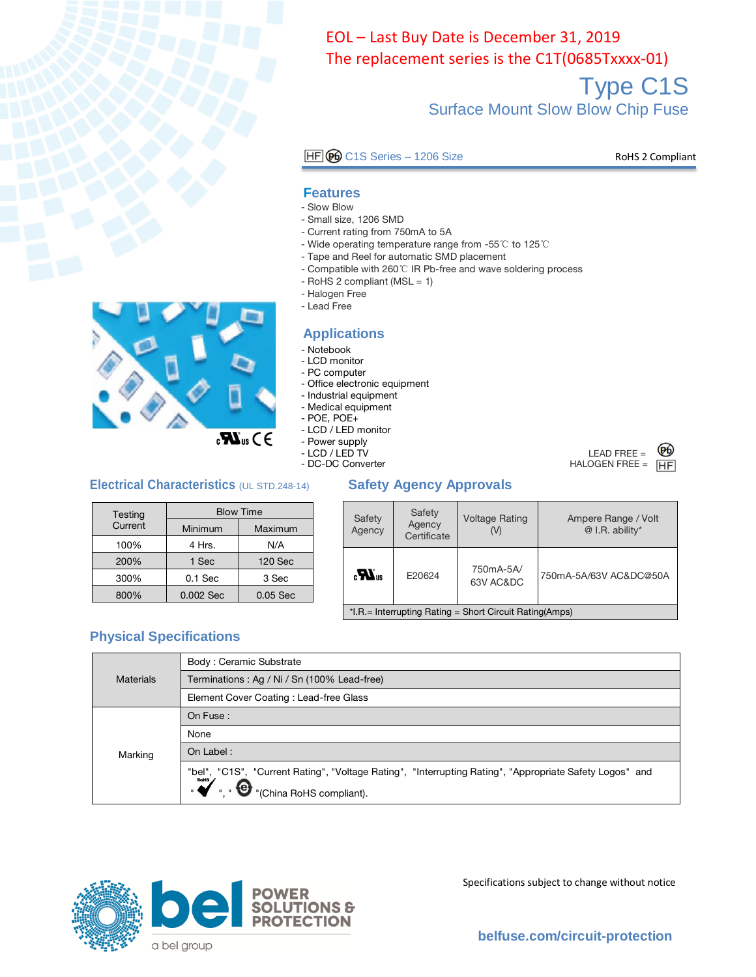

Type C1S Surface Mount Slow Blow Chip Fuse The replacement series is the C1T, (0685Txxxx-01).

HF GO C1S Series - 1206 Size RoHS 2 Compliant

#### **Features**

- Slow Blow
- Small size, 1206 SMD
- Current rating from 750mA to 5A
- Wide operating temperature range from -55℃ to 125℃
- Tape and Reel for automatic SMD placement
- Compatible with 260℃ IR Pb-free and wave soldering process
- $-$  RoHS 2 compliant (MSL  $= 1$ )
- Halogen Free
- Lead Free

#### **Applications**

- Notebook
- LCD monitor
- PC computer
- Office electronic equipment
- Industrial equipment
- Medical equipment
- POE, POE+
- LCD / LED monitor
- Power supply
- LCD / LED TV<br>- DC-DC Converter
	-

#### **Electrical Characteristics** (UL STD.248-14) **Safety Agency Approvals**

| Testing | <b>Blow Time</b> |            |  |  |
|---------|------------------|------------|--|--|
| Current | Minimum          | Maximum    |  |  |
| 100%    | 4 Hrs.           | N/A        |  |  |
| 200%    | 1 Sec            | 120 Sec    |  |  |
| 300%    | $0.1$ Sec        | 3 Sec      |  |  |
| 800%    | 0.002 Sec        | $0.05$ Sec |  |  |

| Safety<br>Agency                                                   | Safety<br>Agency<br>Certificate | <b>Voltage Rating</b> | Ampere Range / Volt<br>@ I.R. ability* |  |  |  |
|--------------------------------------------------------------------|---------------------------------|-----------------------|----------------------------------------|--|--|--|
| 750mA-5A/<br>$\boldsymbol{H}$ <sub>us</sub><br>E20624<br>63V AC&DC |                                 |                       | 750mA-5A/63V AC&DC@50A                 |  |  |  |
| $*$ I.R. = Interrupting Rating = Short Circuit Rating (Amps)       |                                 |                       |                                        |  |  |  |

#### **Physical Specifications**

|                  | Body: Ceramic Substrate                                                                                                             |
|------------------|-------------------------------------------------------------------------------------------------------------------------------------|
| <b>Materials</b> | Terminations: Ag / Ni / Sn (100% Lead-free)                                                                                         |
|                  | Element Cover Coating: Lead-free Glass                                                                                              |
|                  | On Fuse:                                                                                                                            |
|                  | None                                                                                                                                |
| Marking          | On Label:                                                                                                                           |
|                  | "bel", "C1S", "Current Rating", "Voltage Rating", "Interrupting Rating", "Appropriate Safety Logos" and<br>"(China RoHS compliant). |



Specifications subject to change without notice

**[belfuse.com/circuit-protection](https://belfuse.com/power-solutions)**



#### LEAD FREE  $=$ (Pb)  $HALOGEN FREE = \overline{HF}$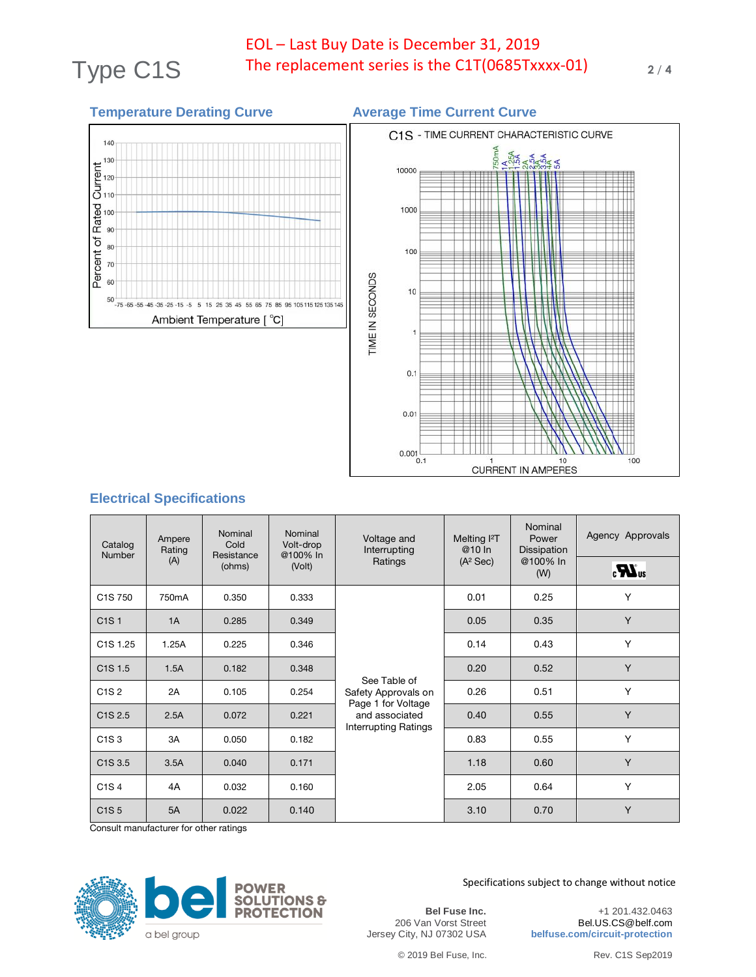# Type C1S The replacement series is the C1T(0685Txxxx-01) 2/4 EOL – Last Buy Date is December 31, 2019

### **Temperature Derating Curve Average Time Current Curve** C1S - TIME CURRENT CHARACTERISTIC CURVE 140  $\frac{130}{2}$ <br> $\frac{130}{120}$ 10000  $\vec{S}$ <sub>110</sub> Rated<br>9 1000 Percent of 80 100 70 TIME IN SECONDS 60  $10$  $50\, - 75\, - 65\, - 55\, - 45\, - 35\, - 25\, - 15\, - 5\quad 5\quad 15\quad 25\ 35\ 45\ 55\ 65\ 75\ 85\ 95\ 105\, 115\ 125\ 135\ 145$ Ambient Temperature [ °C]  $\mathbf{1}$  $0.1$  $0.01$

 $0.001$ <sub>0.1</sub>

### **Electrical Specifications**

| Catalog<br><b>Number</b>             | Ampere<br>Rating    | Nominal<br>Nominal<br>Cold<br>Volt-drop<br>Resistance<br>@100% In<br>Ratings<br>(A) |                  | Voltage and<br>Interrupting                                                                         | Melting <sup>2</sup> T<br>@10 In<br>$(A^2 Sec)$ | Nominal<br>Power<br>Dissipation<br>@100% In | Agency Approvals               |
|--------------------------------------|---------------------|-------------------------------------------------------------------------------------|------------------|-----------------------------------------------------------------------------------------------------|-------------------------------------------------|---------------------------------------------|--------------------------------|
|                                      |                     |                                                                                     | (ohms)<br>(Volt) |                                                                                                     |                                                 | (W)                                         | $\boldsymbol{H}$ <sub>us</sub> |
| C <sub>1</sub> S 750                 | 750mA               | 0.350                                                                               | 0.333            |                                                                                                     | 0.01                                            | 0.25                                        | Y                              |
| C <sub>1</sub> S <sub>1</sub>        | 1A                  | 0.285                                                                               | 0.349            |                                                                                                     | 0.05                                            | 0.35                                        | Y                              |
| C <sub>1</sub> S <sub>1.25</sub>     | 1.25A               | 0.225                                                                               | 0.346            |                                                                                                     | 0.14                                            | 0.43                                        | Y                              |
| C <sub>1</sub> S <sub>1.5</sub>      | 1.5A                | 0.182                                                                               | 0.348            | See Table of<br>Safety Approvals on<br>Page 1 for Voltage<br>and associated<br>Interrupting Ratings | 0.20                                            | 0.52                                        | Y                              |
| C <sub>1</sub> S <sub>2</sub>        | 2A                  | 0.105                                                                               | 0.254            |                                                                                                     | 0.26                                            | 0.51                                        | Y                              |
| C <sub>1</sub> S <sub>2.5</sub>      | 2.5A                | 0.072                                                                               | 0.221            |                                                                                                     | 0.40                                            | 0.55                                        | Y                              |
| C <sub>1</sub> S <sub>3</sub>        | 3A                  | 0.050                                                                               | 0.182            |                                                                                                     | 0.83                                            | 0.55                                        | Y                              |
| C <sub>1</sub> S <sub>3.5</sub>      | 3.5A                | 0.040                                                                               | 0.171            |                                                                                                     | 1.18                                            | 0.60                                        | Y                              |
| C <sub>1</sub> S <sub>4</sub>        | 4A                  | 0.032                                                                               | 0.160            |                                                                                                     | 2.05                                            | 0.64                                        | Y                              |
| C <sub>1</sub> S <sub>5</sub><br>~ … | 5A<br>$\sim$ $\sim$ | 0.022                                                                               | 0.140            |                                                                                                     | 3.10                                            | 0.70                                        | Y                              |

Consult manufacturer for other ratings



Specifications subject to change without notice

**Bel Fuse Inc.** 206 Van Vorst Street Jersey City, NJ 07302 USA

+1 201.432.0463 Bel.US.CS@belf.com **belfuse.com/circuit-protection**

© 2019 Bel Fuse, Inc. Rev. C1S Sep2019

100

10

**CURRENT IN AMPERES**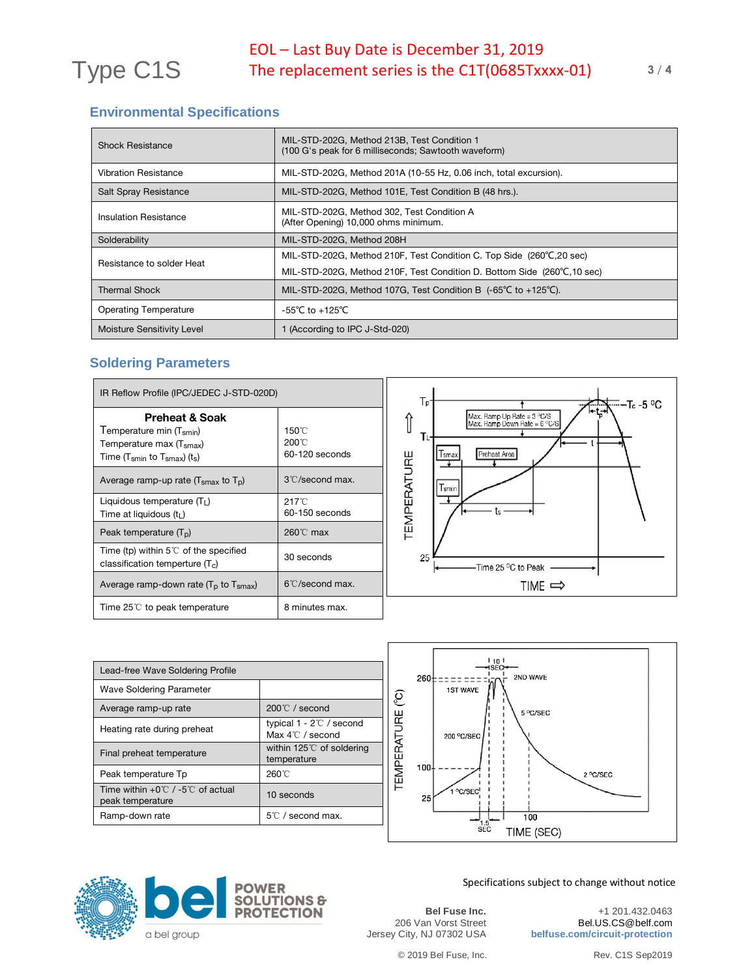## **Environmental Specifications**

| <b>Shock Resistance</b>      | MIL-STD-202G, Method 213B, Test Condition 1<br>(100 G's peak for 6 milliseconds; Sawtooth waveform) |  |
|------------------------------|-----------------------------------------------------------------------------------------------------|--|
| <b>Vibration Resistance</b>  | MIL-STD-202G, Method 201A (10-55 Hz, 0.06 inch, total excursion).                                   |  |
| <b>Salt Spray Resistance</b> | MIL-STD-202G, Method 101E, Test Condition B (48 hrs.).                                              |  |
| Insulation Resistance        | MIL-STD-202G, Method 302, Test Condition A<br>(After Opening) 10,000 ohms minimum.                  |  |
| Solderability                | MIL-STD-202G, Method 208H                                                                           |  |
| Resistance to solder Heat    | MIL-STD-202G, Method 210F, Test Condition C. Top Side (260°C, 20 sec)                               |  |
|                              | MIL-STD-202G, Method 210F, Test Condition D. Bottom Side (260°C, 10 sec)                            |  |
| <b>Thermal Shock</b>         | MIL-STD-202G, Method 107G, Test Condition B $(-65^{\circ}C \text{ to } +125^{\circ}C)$ .            |  |
| <b>Operating Temperature</b> | $-55^{\circ}$ C to $+125^{\circ}$ C                                                                 |  |
| Moisture Sensitivity Level   | 1 (According to IPC J-Std-020)                                                                      |  |

#### **Soldering Parameters**

| IR Reflow Profile (IPC/JEDEC J-STD-020D)                                                                                                                         |                                                      |  |  |  |
|------------------------------------------------------------------------------------------------------------------------------------------------------------------|------------------------------------------------------|--|--|--|
| <b>Preheat &amp; Soak</b><br>Temperature min (T <sub>smin</sub> )<br>Temperature max (T <sub>smax</sub> )<br>Time ( $T_{smin}$ to $T_{smax}$ ) (t <sub>s</sub> ) | $150^{\circ}$ C<br>$200^{\circ}$ C<br>60-120 seconds |  |  |  |
| Average ramp-up rate $(Tsmax$ to $Tp)$                                                                                                                           | 3°C/second max.                                      |  |  |  |
| Liquidous temperature $(TL)$<br>Time at liquidous (t <sub>l</sub> )                                                                                              | 217°C<br>$60-150$ seconds                            |  |  |  |
| Peak temperature $(TD)$                                                                                                                                          | $260^{\circ}$ C max                                  |  |  |  |
| Time (tp) within $5^{\circ}$ of the specified<br>classification temperture $(T_c)$                                                                               | 30 seconds                                           |  |  |  |
| Average ramp-down rate $(T_p$ to $T_{\text{smax}})$                                                                                                              | 6°C/second max.                                      |  |  |  |
| Time 25 $\degree$ to peak temperature                                                                                                                            | 8 minutes max.                                       |  |  |  |



| Lead-free Wave Soldering Profile                                       |                                                                |  |  |  |  |  |
|------------------------------------------------------------------------|----------------------------------------------------------------|--|--|--|--|--|
| <b>Wave Soldering Parameter</b>                                        |                                                                |  |  |  |  |  |
| Average ramp-up rate                                                   | $200^{\circ}$ / second                                         |  |  |  |  |  |
| Heating rate during preheat                                            | typical $1 - 2^{\circ}$ / second<br>Max $4^{\circ}$ C / second |  |  |  |  |  |
| Final preheat temperature                                              | within $125^{\circ}$ of soldering<br>temperature               |  |  |  |  |  |
| Peak temperature Tp                                                    | 260°C                                                          |  |  |  |  |  |
| Time within $+0^{\circ}$ / -5 $^{\circ}$ of actual<br>peak temperature | 10 seconds                                                     |  |  |  |  |  |
| Ramp-down rate                                                         | $5^{\circ}$ C / second max.                                    |  |  |  |  |  |





Specifications subject to change without notice

**Bel Fuse Inc.** 206 Van Vorst Street Jersey City, NJ 07302 USA

+1 201.432.0463 Bel.US.CS@belf.com **belfuse.com/circuit-protection**

© 2019 Bel Fuse, Inc. Rev. C1S Sep2019